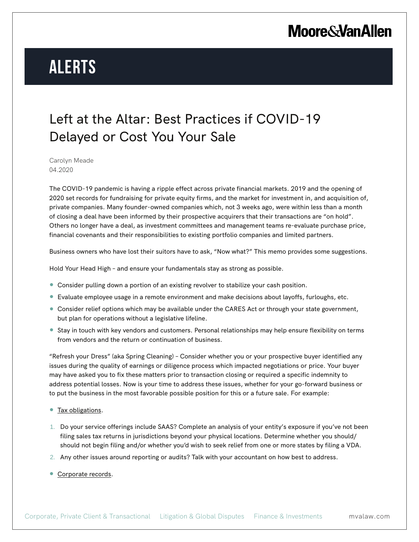## **Moore & Van Allen**

# **Alerts**

#### Left at the Altar: Best Practices if COVID-19 Delayed or Cost You Your Sale

Carolyn Meade 04.2020

The COVID-19 pandemic is having a ripple effect across private financial markets. 2019 and the opening of 2020 set records for fundraising for private equity firms, and the market for investment in, and acquisition of, private companies. Many founder-owned companies which, not 3 weeks ago, were within less than a month of closing a deal have been informed by their prospective acquirers that their transactions are "on hold". Others no longer have a deal, as investment committees and management teams re-evaluate purchase price, financial covenants and their responsibilities to existing portfolio companies and limited partners.

Business owners who have lost their suitors have to ask, "Now what?" This memo provides some suggestions.

Hold Your Head High – and ensure your fundamentals stay as strong as possible.

- Consider pulling down a portion of an existing revolver to stabilize your cash position.
- Evaluate employee usage in a remote environment and make decisions about layoffs, furloughs, etc.
- Consider relief options which may be available under the CARES Act or through your state government, but plan for operations without a legislative lifeline.
- Stay in touch with key vendors and customers. Personal relationships may help ensure flexibility on terms from vendors and the return or continuation of business.

"Refresh your Dress" (aka Spring Cleaning) – Consider whether you or your prospective buyer identified any issues during the quality of earnings or diligence process which impacted negotiations or price. Your buyer may have asked you to fix these matters prior to transaction closing or required a specific indemnity to address potential losses. Now is your time to address these issues, whether for your go-forward business or to put the business in the most favorable possible position for this or a future sale. For example:

- Tax obligations.
- 1. Do your service offerings include SAAS? Complete an analysis of your entity's exposure if you've not been filing sales tax returns in jurisdictions beyond your physical locations. Determine whether you should/ should not begin filing and/or whether you'd wish to seek relief from one or more states by filing a VDA.
- 2. Any other issues around reporting or audits? Talk with your accountant on how best to address.
- Corporate records.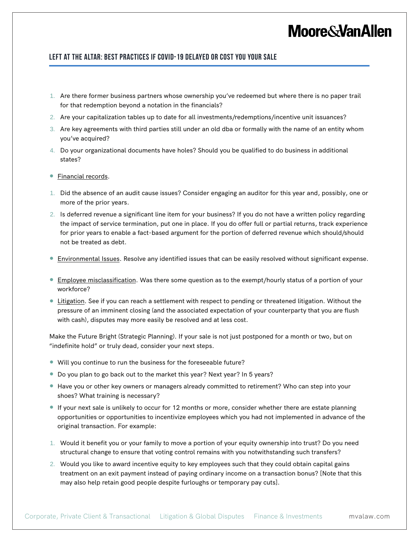## **Moore&VanAllen**

#### **Left at the Altar: Best Practices if COVID-19 Delayed or Cost You Your Sale**

- 1. Are there former business partners whose ownership you've redeemed but where there is no paper trail for that redemption beyond a notation in the financials?
- 2. Are your capitalization tables up to date for all investments/redemptions/incentive unit issuances?
- 3. Are key agreements with third parties still under an old dba or formally with the name of an entity whom you've acquired?
- 4. Do your organizational documents have holes? Should you be qualified to do business in additional states?
- Financial records.
- 1. Did the absence of an audit cause issues? Consider engaging an auditor for this year and, possibly, one or more of the prior years.
- 2. Is deferred revenue a significant line item for your business? If you do not have a written policy regarding the impact of service termination, put one in place. If you do offer full or partial returns, track experience for prior years to enable a fact-based argument for the portion of deferred revenue which should/should not be treated as debt.
- **Environmental Issues**. Resolve any identified issues that can be easily resolved without significant expense.
- Employee misclassification. Was there some question as to the exempt/hourly status of a portion of your workforce?
- **Eitigation.** See if you can reach a settlement with respect to pending or threatened litigation. Without the pressure of an imminent closing (and the associated expectation of your counterparty that you are flush with cash), disputes may more easily be resolved and at less cost.

Make the Future Bright (Strategic Planning). If your sale is not just postponed for a month or two, but on "indefinite hold" or truly dead, consider your next steps.

- Will you continue to run the business for the foreseeable future?
- Do you plan to go back out to the market this year? Next year? In 5 years?
- Have you or other key owners or managers already committed to retirement? Who can step into your shoes? What training is necessary?
- If your next sale is unlikely to occur for 12 months or more, consider whether there are estate planning opportunities or opportunities to incentivize employees which you had not implemented in advance of the original transaction. For example:
- 1. Would it benefit you or your family to move a portion of your equity ownership into trust? Do you need structural change to ensure that voting control remains with you notwithstanding such transfers?
- 2. Would you like to award incentive equity to key employees such that they could obtain capital gains treatment on an exit payment instead of paying ordinary income on a transaction bonus? [Note that this may also help retain good people despite furloughs or temporary pay cuts].